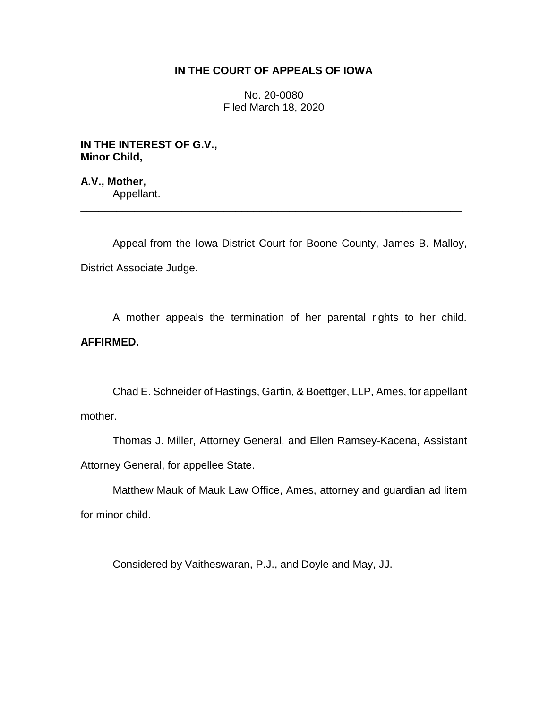# **IN THE COURT OF APPEALS OF IOWA**

No. 20-0080 Filed March 18, 2020

**IN THE INTEREST OF G.V., Minor Child,**

**A.V., Mother,** Appellant.

Appeal from the Iowa District Court for Boone County, James B. Malloy, District Associate Judge.

\_\_\_\_\_\_\_\_\_\_\_\_\_\_\_\_\_\_\_\_\_\_\_\_\_\_\_\_\_\_\_\_\_\_\_\_\_\_\_\_\_\_\_\_\_\_\_\_\_\_\_\_\_\_\_\_\_\_\_\_\_\_\_\_

A mother appeals the termination of her parental rights to her child. **AFFIRMED.**

Chad E. Schneider of Hastings, Gartin, & Boettger, LLP, Ames, for appellant mother.

Thomas J. Miller, Attorney General, and Ellen Ramsey-Kacena, Assistant Attorney General, for appellee State.

Matthew Mauk of Mauk Law Office, Ames, attorney and guardian ad litem for minor child.

Considered by Vaitheswaran, P.J., and Doyle and May, JJ.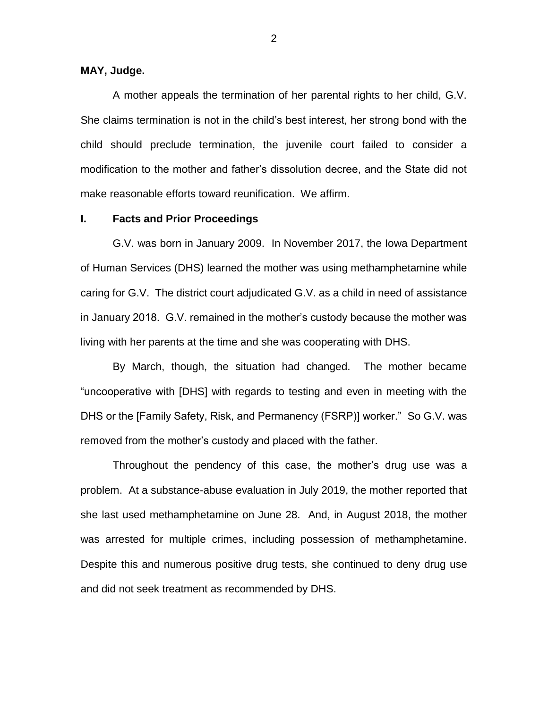## **MAY, Judge.**

A mother appeals the termination of her parental rights to her child, G.V. She claims termination is not in the child's best interest, her strong bond with the child should preclude termination, the juvenile court failed to consider a modification to the mother and father's dissolution decree, and the State did not make reasonable efforts toward reunification. We affirm.

### **I. Facts and Prior Proceedings**

G.V. was born in January 2009. In November 2017, the Iowa Department of Human Services (DHS) learned the mother was using methamphetamine while caring for G.V. The district court adjudicated G.V. as a child in need of assistance in January 2018. G.V. remained in the mother's custody because the mother was living with her parents at the time and she was cooperating with DHS.

By March, though, the situation had changed. The mother became "uncooperative with [DHS] with regards to testing and even in meeting with the DHS or the [Family Safety, Risk, and Permanency (FSRP)] worker." So G.V. was removed from the mother's custody and placed with the father.

Throughout the pendency of this case, the mother's drug use was a problem. At a substance-abuse evaluation in July 2019, the mother reported that she last used methamphetamine on June 28. And, in August 2018, the mother was arrested for multiple crimes, including possession of methamphetamine. Despite this and numerous positive drug tests, she continued to deny drug use and did not seek treatment as recommended by DHS.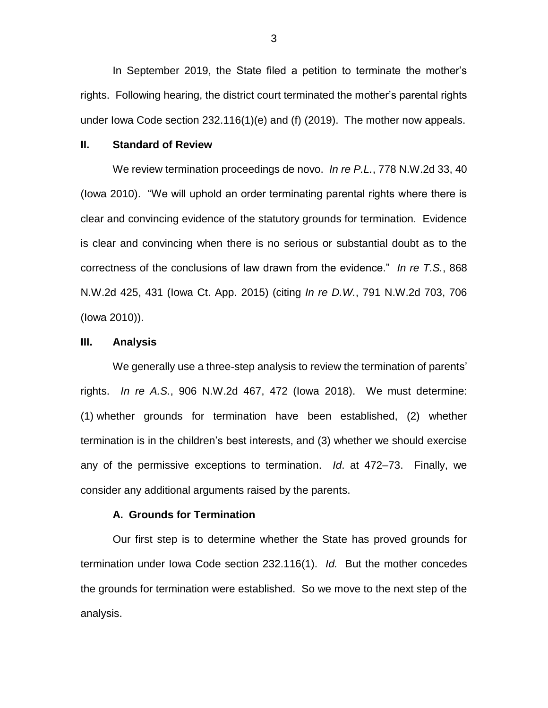In September 2019, the State filed a petition to terminate the mother's rights. Following hearing, the district court terminated the mother's parental rights under Iowa Code section 232.116(1)(e) and (f) (2019). The mother now appeals.

#### **II. Standard of Review**

We review termination proceedings de novo. *In re P.L.*, 778 N.W.2d 33, 40 (Iowa 2010). "We will uphold an order terminating parental rights where there is clear and convincing evidence of the statutory grounds for termination. Evidence is clear and convincing when there is no serious or substantial doubt as to the correctness of the conclusions of law drawn from the evidence." *In re T.S.*, 868 N.W.2d 425, 431 (Iowa Ct. App. 2015) (citing *In re D.W.*, 791 N.W.2d 703, 706 (Iowa 2010)).

### **III. Analysis**

We generally use a three-step analysis to review the termination of parents' rights. *In re A.S.*, 906 N.W.2d 467, 472 (Iowa 2018). We must determine: (1) whether grounds for termination have been established, (2) whether termination is in the children's best interests, and (3) whether we should exercise any of the permissive exceptions to termination. *Id*. at 472–73. Finally, we consider any additional arguments raised by the parents.

#### **A. Grounds for Termination**

Our first step is to determine whether the State has proved grounds for termination under Iowa Code section 232.116(1). *Id.* But the mother concedes the grounds for termination were established. So we move to the next step of the analysis.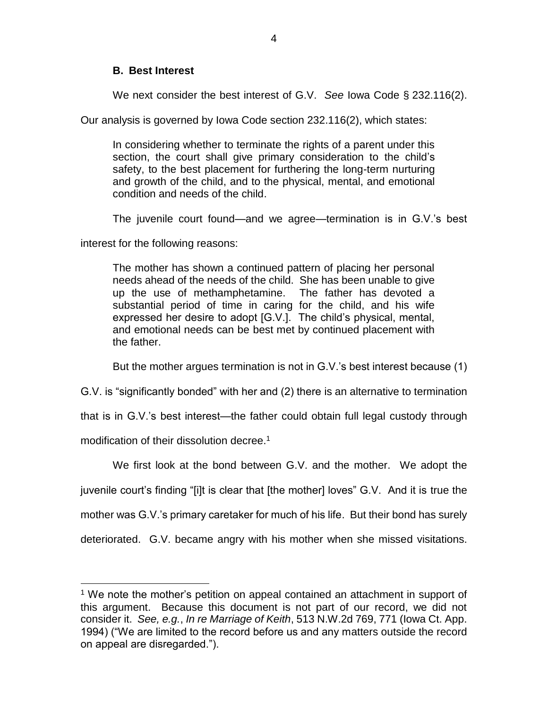## **B. Best Interest**

We next consider the best interest of G.V. *See* Iowa Code § 232.116(2).

Our analysis is governed by Iowa Code section 232.116(2), which states:

In considering whether to terminate the rights of a parent under this section, the court shall give primary consideration to the child's safety, to the best placement for furthering the long-term nurturing and growth of the child, and to the physical, mental, and emotional condition and needs of the child.

The juvenile court found—and we agree—termination is in G.V.'s best

interest for the following reasons:

The mother has shown a continued pattern of placing her personal needs ahead of the needs of the child. She has been unable to give up the use of methamphetamine. The father has devoted a substantial period of time in caring for the child, and his wife expressed her desire to adopt [G.V.]. The child's physical, mental, and emotional needs can be best met by continued placement with the father.

But the mother argues termination is not in G.V.'s best interest because (1)

G.V. is "significantly bonded" with her and (2) there is an alternative to termination

that is in G.V.'s best interest—the father could obtain full legal custody through

modification of their dissolution decree.<sup>1</sup>

 $\overline{a}$ 

We first look at the bond between G.V. and the mother. We adopt the juvenile court's finding "[i]t is clear that [the mother] loves" G.V. And it is true the mother was G.V.'s primary caretaker for much of his life. But their bond has surely deteriorated. G.V. became angry with his mother when she missed visitations.

<sup>&</sup>lt;sup>1</sup> We note the mother's petition on appeal contained an attachment in support of this argument. Because this document is not part of our record, we did not consider it. *See, e.g.*, *In re Marriage of Keith*, 513 N.W.2d 769, 771 (Iowa Ct. App. 1994) ("We are limited to the record before us and any matters outside the record on appeal are disregarded.").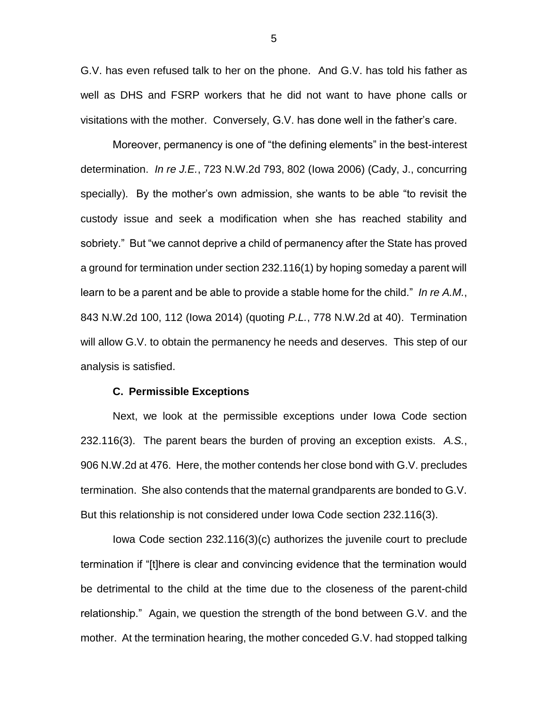G.V. has even refused talk to her on the phone. And G.V. has told his father as well as DHS and FSRP workers that he did not want to have phone calls or visitations with the mother. Conversely, G.V. has done well in the father's care.

Moreover, permanency is one of "the defining elements" in the best-interest determination. *In re J.E.*, 723 N.W.2d 793, 802 (Iowa 2006) (Cady, J., concurring specially). By the mother's own admission, she wants to be able "to revisit the custody issue and seek a modification when she has reached stability and sobriety." But "we cannot deprive a child of permanency after the State has proved a ground for termination under section 232.116(1) by hoping someday a parent will learn to be a parent and be able to provide a stable home for the child." *In re A.M.*, 843 N.W.2d 100, 112 (Iowa 2014) (quoting *P.L.*, 778 N.W.2d at 40). Termination will allow G.V. to obtain the permanency he needs and deserves. This step of our analysis is satisfied.

#### **C. Permissible Exceptions**

Next, we look at the permissible exceptions under Iowa Code section 232.116(3). The parent bears the burden of proving an exception exists. *A.S.*, 906 N.W.2d at 476. Here, the mother contends her close bond with G.V. precludes termination. She also contends that the maternal grandparents are bonded to G.V. But this relationship is not considered under Iowa Code section 232.116(3).

Iowa Code section 232.116(3)(c) authorizes the juvenile court to preclude termination if "[t]here is clear and convincing evidence that the termination would be detrimental to the child at the time due to the closeness of the parent-child relationship." Again, we question the strength of the bond between G.V. and the mother. At the termination hearing, the mother conceded G.V. had stopped talking

5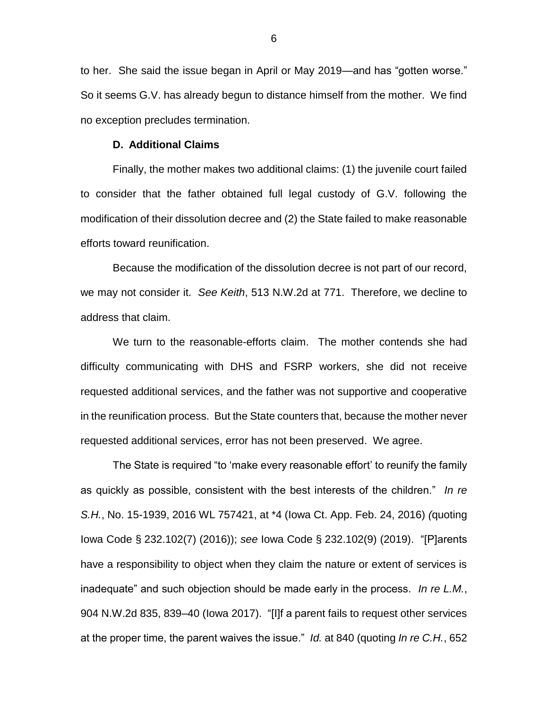to her. She said the issue began in April or May 2019—and has "gotten worse." So it seems G.V. has already begun to distance himself from the mother. We find no exception precludes termination.

### **D. Additional Claims**

Finally, the mother makes two additional claims: (1) the juvenile court failed to consider that the father obtained full legal custody of G.V. following the modification of their dissolution decree and (2) the State failed to make reasonable efforts toward reunification.

Because the modification of the dissolution decree is not part of our record, we may not consider it. *See Keith*, 513 N.W.2d at 771. Therefore, we decline to address that claim.

We turn to the reasonable-efforts claim. The mother contends she had difficulty communicating with DHS and FSRP workers, she did not receive requested additional services, and the father was not supportive and cooperative in the reunification process. But the State counters that, because the mother never requested additional services, error has not been preserved. We agree.

The State is required "to 'make every reasonable effort' to reunify the family as quickly as possible, consistent with the best interests of the children." *In re S.H.*, No. 15-1939, 2016 WL 757421, at \*4 (Iowa Ct. App. Feb. 24, 2016) *(*quoting Iowa Code § 232.102(7) (2016)); *see* Iowa Code § 232.102(9) (2019). "[P]arents have a responsibility to object when they claim the nature or extent of services is inadequate" and such objection should be made early in the process. *In re L.M.*, 904 N.W.2d 835, 839–40 (Iowa 2017). "[I]f a parent fails to request other services at the proper time, the parent waives the issue." *Id.* at 840 (quoting *In re C.H.*, 652